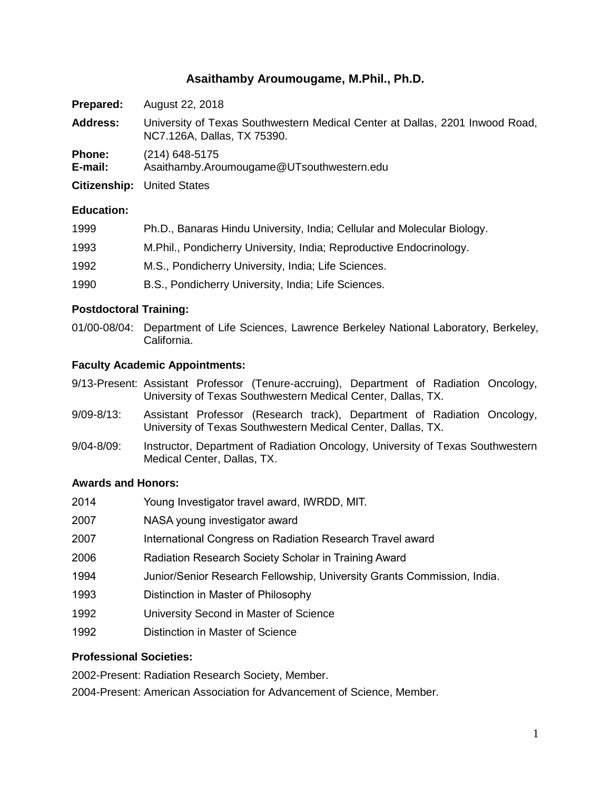# **Asaithamby Aroumougame, M.Phil., Ph.D.**

| Prepared:                | August 22, 2018                                                                                             |
|--------------------------|-------------------------------------------------------------------------------------------------------------|
| <b>Address:</b>          | University of Texas Southwestern Medical Center at Dallas, 2201 Inwood Road,<br>NC7.126A, Dallas, TX 75390. |
| <b>Phone:</b><br>E-mail: | $(214)$ 648-5175<br>Asaithamby.Aroumougame@UTsouthwestern.edu                                               |
|                          | <b>Citizenship:</b> United States                                                                           |

#### **Education:**

| 1999 | Ph.D., Banaras Hindu University, India; Cellular and Molecular Biology. |
|------|-------------------------------------------------------------------------|
| 1993 | M.Phil., Pondicherry University, India; Reproductive Endocrinology.     |
| 1992 | M.S., Pondicherry University, India; Life Sciences.                     |
| 1990 | B.S., Pondicherry University, India; Life Sciences.                     |

### **Postdoctoral Training:**

01/00-08/04: Department of Life Sciences, Lawrence Berkeley National Laboratory, Berkeley, California.

#### **Faculty Academic Appointments:**

- 9/13-Present: Assistant Professor (Tenure-accruing), Department of Radiation Oncology, University of Texas Southwestern Medical Center, Dallas, TX.
- 9/09-8/13: Assistant Professor (Research track), Department of Radiation Oncology, University of Texas Southwestern Medical Center, Dallas, TX.
- 9/04-8/09: Instructor, Department of Radiation Oncology, University of Texas Southwestern Medical Center, Dallas, TX.

## **Awards and Honors:**

| 2014 | Young Investigator travel award, IWRDD, MIT.                            |
|------|-------------------------------------------------------------------------|
| 2007 | NASA young investigator award                                           |
| 2007 | International Congress on Radiation Research Travel award               |
| 2006 | Radiation Research Society Scholar in Training Award                    |
| 1994 | Junior/Senior Research Fellowship, University Grants Commission, India. |
| 1993 | Distinction in Master of Philosophy                                     |
| 1992 | University Second in Master of Science                                  |
| 1992 | Distinction in Master of Science                                        |

### **Professional Societies:**

2002-Present: Radiation Research Society, Member.

2004-Present: American Association for Advancement of Science, Member.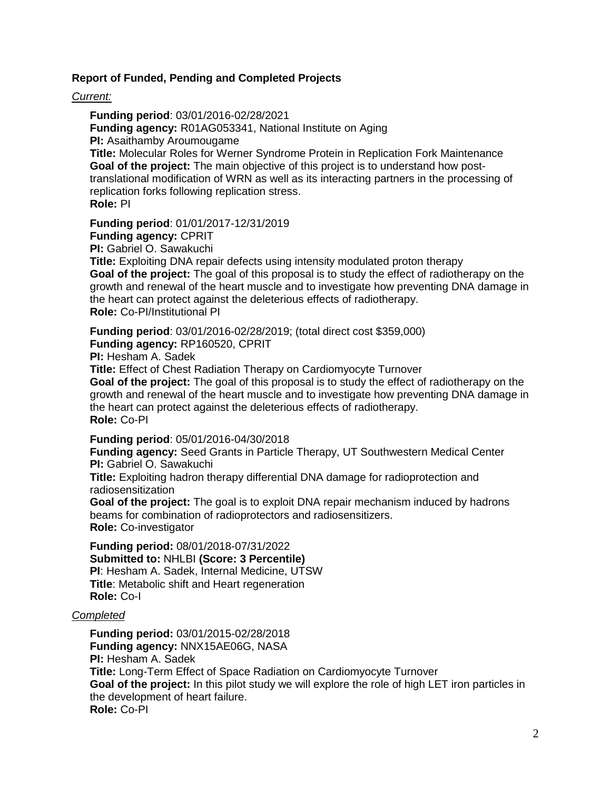#### **Report of Funded, Pending and Completed Projects**

*Current:*

**Funding period**: 03/01/2016-02/28/2021 **Funding agency:** R01AG053341, National Institute on Aging **PI:** Asaithamby Aroumougame **Title:** Molecular Roles for Werner Syndrome Protein in Replication Fork Maintenance **Goal of the project:** The main objective of this project is to understand how posttranslational modification of WRN as well as its interacting partners in the processing of replication forks following replication stress. **Role:** PI

**Funding period**: 01/01/2017-12/31/2019

**Funding agency:** CPRIT

**PI:** Gabriel O. Sawakuchi

**Title:** Exploiting DNA repair defects using intensity modulated proton therapy **Goal of the project:** The goal of this proposal is to study the effect of radiotherapy on the growth and renewal of the heart muscle and to investigate how preventing DNA damage in the heart can protect against the deleterious effects of radiotherapy. **Role:** Co-PI/Institutional PI

**Funding period**: 03/01/2016-02/28/2019; (total direct cost \$359,000) **Funding agency:** RP160520, CPRIT

**PI:** Hesham A. Sadek

**Title:** Effect of Chest Radiation Therapy on Cardiomyocyte Turnover

**Goal of the project:** The goal of this proposal is to study the effect of radiotherapy on the growth and renewal of the heart muscle and to investigate how preventing DNA damage in the heart can protect against the deleterious effects of radiotherapy. **Role:** Co-PI

**Funding period**: 05/01/2016-04/30/2018

**Funding agency:** Seed Grants in Particle Therapy, UT Southwestern Medical Center **PI:** Gabriel O. Sawakuchi

**Title:** Exploiting hadron therapy differential DNA damage for radioprotection and radiosensitization

**Goal of the project:** The goal is to exploit DNA repair mechanism induced by hadrons beams for combination of radioprotectors and radiosensitizers. **Role:** Co-investigator

**Funding period:** 08/01/2018-07/31/2022 **Submitted to:** NHLBI **(Score: 3 Percentile) PI**: Hesham A. Sadek, Internal Medicine, UTSW **Title**: Metabolic shift and Heart regeneration **Role:** Co-I

#### *Completed*

**Funding period:** 03/01/2015-02/28/2018 **Funding agency:** NNX15AE06G, NASA **PI:** Hesham A. Sadek **Title:** Long-Term Effect of Space Radiation on Cardiomyocyte Turnover **Goal of the project:** In this pilot study we will explore the role of high LET iron particles in the development of heart failure. **Role:** Co-PI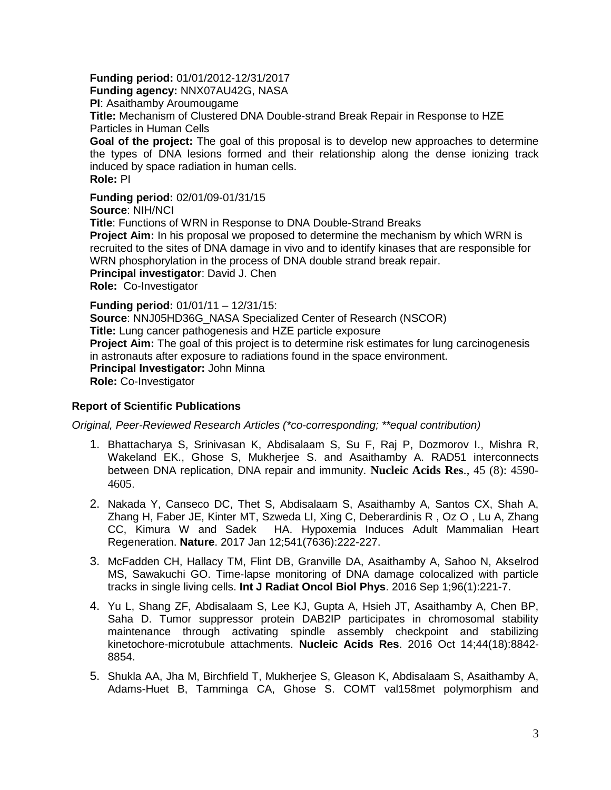### **Funding period:** 01/01/2012-12/31/2017

**Funding agency:** NNX07AU42G, NASA

**PI**: Asaithamby Aroumougame

**Title:** Mechanism of Clustered DNA Double-strand Break Repair in Response to HZE Particles in Human Cells

**Goal of the project:** The goal of this proposal is to develop new approaches to determine the types of DNA lesions formed and their relationship along the dense ionizing track induced by space radiation in human cells.

**Role:** PI

**Funding period:** 02/01/09-01/31/15

**Source**: NIH/NCI **Title**: Functions of WRN in Response to DNA Double-Strand Breaks **Project Aim:** In his proposal we proposed to determine the mechanism by which WRN is recruited to the sites of DNA damage in vivo and to identify kinases that are responsible for WRN phosphorylation in the process of DNA double strand break repair. **Principal investigator**: David J. Chen **Role:** Co-Investigator

**Funding period:** 01/01/11 – 12/31/15: **Source**: NNJ05HD36G\_NASA Specialized Center of Research (NSCOR) **Title:** Lung cancer pathogenesis and HZE particle exposure **Project Aim:** The goal of this project is to determine risk estimates for lung carcinogenesis in astronauts after exposure to radiations found in the space environment. **Principal Investigator:** John Minna **Role:** Co-Investigator

### **Report of Scientific Publications**

*Original, Peer-Reviewed Research Articles (\*co-corresponding; \*\*equal contribution)*

- 1. [Bhattacharya S,](http://www.ncbi.nlm.nih.gov/pubmed/?term=Bhattacharya%20S%5BAuthor%5D&cauthor=true&cauthor_uid=26695548) [Srinivasan K,](http://www.ncbi.nlm.nih.gov/pubmed/?term=Srinivasan%20K%5BAuthor%5D&cauthor=true&cauthor_uid=26695548) [Abdisalaam S,](http://www.ncbi.nlm.nih.gov/pubmed/?term=Abdisalaam%20S%5BAuthor%5D&cauthor=true&cauthor_uid=26695548) [Su F,](http://www.ncbi.nlm.nih.gov/pubmed/?term=Su%20F%5BAuthor%5D&cauthor=true&cauthor_uid=26695548) Raj P, Dozmorov I., Mishra R, Wakeland EK., [Ghose S,](http://www.ncbi.nlm.nih.gov/pubmed/?term=Ghose%20S%5BAuthor%5D&cauthor=true&cauthor_uid=26695548) [Mukherjee S.](http://www.ncbi.nlm.nih.gov/pubmed/?term=Mukherjee%20S%5BAuthor%5D&cauthor=true&cauthor_uid=26695548) and [Asaithamby A.](http://www.ncbi.nlm.nih.gov/pubmed/?term=Asaithamby%20A%5BAuthor%5D&cauthor=true&cauthor_uid=26695548) RAD51 interconnects between DNA replication, DNA repair and immunity. **[Nucleic Acids Res](https://www.ncbi.nlm.nih.gov/pubmed/28334891)**., 45 (8): 4590- 4605.
- 2. Nakada Y, Canseco DC, Thet S, Abdisalaam S, Asaithamby A, Santos CX, Shah A, Zhang H, Faber JE, Kinter MT, Szweda LI, Xing C, Deberardinis R , Oz O , Lu A, Zhang CC, Kimura W and Sadek HA. Hypoxemia Induces Adult Mammalian Heart Regeneration. **Nature**. 2017 Jan 12;541(7636):222-227.
- 3. McFadden CH, Hallacy TM, Flint DB, Granville DA, Asaithamby A, Sahoo N, Akselrod MS, Sawakuchi GO. Time-lapse monitoring of DNA damage colocalized with particle tracks in single living cells. **Int J Radiat Oncol Biol Phys**. 2016 Sep 1;96(1):221-7.
- 4. Yu L, Shang ZF, Abdisalaam S, Lee KJ, Gupta A, Hsieh JT, Asaithamby A, Chen BP, Saha D. [Tumor suppressor protein DAB2IP participates in chromosomal stability](https://www.ncbi.nlm.nih.gov/pubmed/27568005)  [maintenance through activating spindle assembly checkpoint and stabilizing](https://www.ncbi.nlm.nih.gov/pubmed/27568005)  [kinetochore-microtubule attachments.](https://www.ncbi.nlm.nih.gov/pubmed/27568005) **Nucleic Acids Res**. 2016 Oct 14;44(18):8842- 8854.
- 5. Shukla AA, Jha M, Birchfield T, Mukherjee S, Gleason K, Abdisalaam S, Asaithamby A, Adams-Huet B, Tamminga CA, Ghose S. [COMT val158met polymorphism and](https://www.ncbi.nlm.nih.gov/pubmed/27021555)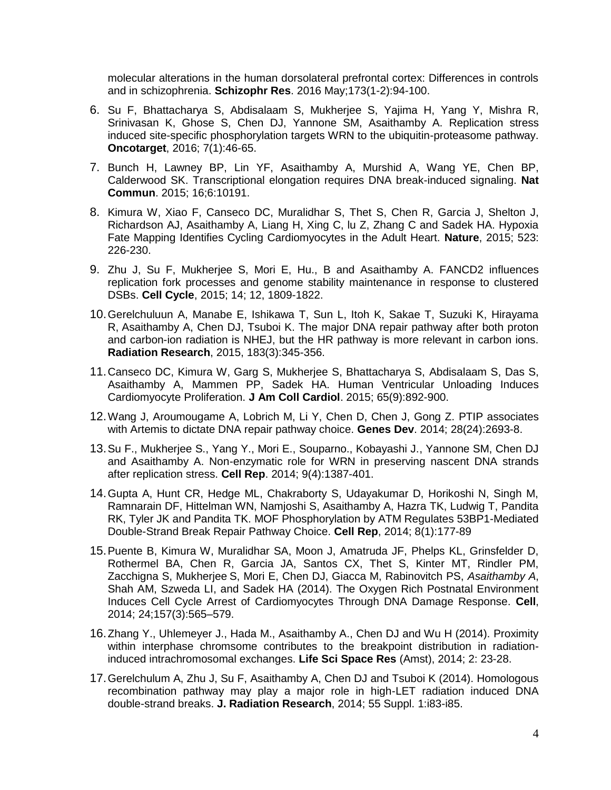[molecular alterations in the human dorsolateral prefrontal cortex: Differences in controls](https://www.ncbi.nlm.nih.gov/pubmed/27021555)  [and in schizophrenia.](https://www.ncbi.nlm.nih.gov/pubmed/27021555) **Schizophr Res**. 2016 May;173(1-2):94-100.

- 6. [Su F,](http://www.ncbi.nlm.nih.gov/pubmed/?term=Su%20F%5BAuthor%5D&cauthor=true&cauthor_uid=26695548) [Bhattacharya S,](http://www.ncbi.nlm.nih.gov/pubmed/?term=Bhattacharya%20S%5BAuthor%5D&cauthor=true&cauthor_uid=26695548) [Abdisalaam S,](http://www.ncbi.nlm.nih.gov/pubmed/?term=Abdisalaam%20S%5BAuthor%5D&cauthor=true&cauthor_uid=26695548) [Mukherjee S,](http://www.ncbi.nlm.nih.gov/pubmed/?term=Mukherjee%20S%5BAuthor%5D&cauthor=true&cauthor_uid=26695548) [Yajima H,](http://www.ncbi.nlm.nih.gov/pubmed/?term=Yajima%20H%5BAuthor%5D&cauthor=true&cauthor_uid=26695548) [Yang Y,](http://www.ncbi.nlm.nih.gov/pubmed/?term=Yang%20Y%5BAuthor%5D&cauthor=true&cauthor_uid=26695548) [Mishra R,](http://www.ncbi.nlm.nih.gov/pubmed/?term=Mishra%20R%5BAuthor%5D&cauthor=true&cauthor_uid=26695548) [Srinivasan K,](http://www.ncbi.nlm.nih.gov/pubmed/?term=Srinivasan%20K%5BAuthor%5D&cauthor=true&cauthor_uid=26695548) [Ghose S,](http://www.ncbi.nlm.nih.gov/pubmed/?term=Ghose%20S%5BAuthor%5D&cauthor=true&cauthor_uid=26695548) [Chen DJ,](http://www.ncbi.nlm.nih.gov/pubmed/?term=Chen%20DJ%5BAuthor%5D&cauthor=true&cauthor_uid=26695548) [Yannone SM,](http://www.ncbi.nlm.nih.gov/pubmed/?term=Yannone%20SM%5BAuthor%5D&cauthor=true&cauthor_uid=26695548) [Asaithamby A.](http://www.ncbi.nlm.nih.gov/pubmed/?term=Asaithamby%20A%5BAuthor%5D&cauthor=true&cauthor_uid=26695548) Replication stress induced site-specific phosphorylation targets WRN to the ubiquitin-proteasome pathway. **[Oncotarget](http://www.ncbi.nlm.nih.gov/pubmed/26695548)**, 2016; 7(1):46-65.
- 7. Bunch H, Lawney BP, Lin YF, Asaithamby A, Murshid A, Wang YE, Chen BP, Calderwood SK. [Transcriptional elongation requires DNA break-induced signaling.](http://www.ncbi.nlm.nih.gov/pubmed/26671524) **Nat Commun**. 2015; 16;6:10191.
- 8. Kimura W, Xiao F, Canseco DC, Muralidhar S, Thet S, Chen R, Garcia J, Shelton J, Richardson AJ, Asaithamby A, Liang H, Xing C, lu Z, Zhang C and Sadek HA. Hypoxia Fate Mapping Identifies Cycling Cardiomyocytes in the Adult Heart. **Nature**, 2015; 523: 226-230.
- 9. Zhu J, Su F, Mukherjee S, Mori E, Hu., B and Asaithamby A. FANCD2 influences replication fork processes and genome stability maintenance in response to clustered DSBs. **Cell Cycle**, 2015; 14; 12, 1809-1822.
- 10.Gerelchuluun A, Manabe E, Ishikawa T, Sun L, Itoh K, Sakae T, Suzuki K, Hirayama R, Asaithamby A, Chen DJ, Tsuboi K. The major DNA repair pathway after both proton and carbon-ion radiation is NHEJ, but the HR pathway is more relevant in carbon ions. **Radiation Research**, 2015, 183(3):345-356.
- 11.Canseco DC, Kimura W, Garg S, Mukherjee S, Bhattacharya S, Abdisalaam S, Das S, Asaithamby A, Mammen PP, Sadek HA. [Human Ventricular Unloading Induces](http://www.ncbi.nlm.nih.gov/pubmed/25618530)  [Cardiomyocyte Proliferation.](http://www.ncbi.nlm.nih.gov/pubmed/25618530) **J Am Coll Cardiol**. 2015; 65(9):892-900.
- 12.Wang J, Aroumougame A, Lobrich M, Li Y, Chen D, Chen J, Gong Z. [PTIP associates](http://www.ncbi.nlm.nih.gov/pubmed/25512557)  [with Artemis to dictate DNA repair pathway choice.](http://www.ncbi.nlm.nih.gov/pubmed/25512557) **Genes Dev**. 2014; 28(24):2693-8.
- 13.Su F., Mukherjee S., Yang Y., Mori E., Souparno., Kobayashi J., Yannone SM, Chen DJ and Asaithamby A. Non-enzymatic role for WRN in preserving nascent DNA strands after replication stress. **Cell Rep**. 2014; 9(4):1387-401.
- 14.Gupta A, Hunt CR, Hedge ML, Chakraborty S, Udayakumar D, Horikoshi N, Singh M, Ramnarain DF, Hittelman WN, Namjoshi S, Asaithamby A, Hazra TK, Ludwig T, Pandita RK, Tyler JK and Pandita TK. MOF Phosphorylation by ATM Regulates 53BP1-Mediated Double-Strand Break Repair Pathway Choice. **Cell Rep**, 2014; 8(1):177-89
- 15.Puente B, Kimura W, Muralidhar SA, Moon J, Amatruda JF, Phelps KL, Grinsfelder D, Rothermel BA, Chen R, Garcia JA, Santos CX, Thet S, Kinter MT, Rindler PM, Zacchigna S, Mukherjee S, Mori E, Chen DJ, Giacca M, Rabinovitch PS, *Asaithamby A*, Shah AM, Szweda LI, and Sadek HA (2014). The Oxygen Rich Postnatal Environment Induces Cell Cycle Arrest of Cardiomyocytes Through DNA Damage Response. **Cell**, 2014; 24;157(3):565–579.
- 16.Zhang Y., Uhlemeyer J., Hada M., Asaithamby A., Chen DJ and Wu H (2014). Proximity within interphase chromsome contributes to the breakpoint distribution in radiationinduced intrachromosomal exchanges. **Life Sci Space Res** (Amst), 2014; 2: 23-28.
- 17.Gerelchulum A, Zhu J, Su F, Asaithamby A, Chen DJ and Tsuboi K (2014). Homologous recombination pathway may play a major role in high-LET radiation induced DNA double-strand breaks. **J. Radiation Research**, 2014; 55 Suppl. 1:i83-i85.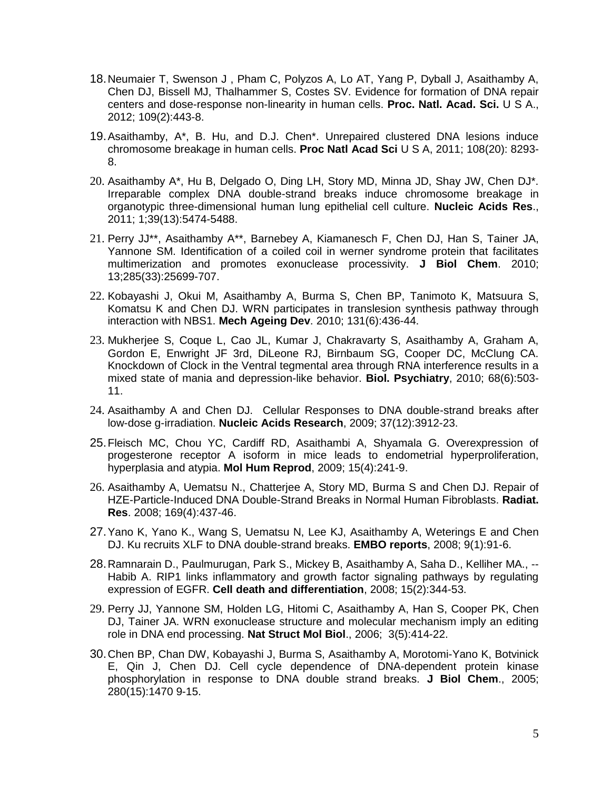- 18.Neumaier T, Swenson J , Pham C, Polyzos A, Lo AT, Yang P, Dyball J, Asaithamby A, Chen DJ, Bissell MJ, Thalhammer S, Costes SV. Evidence for formation of DNA repair centers and dose-response non-linearity in human cells. **Proc. Natl. Acad. Sci.** U S A., 2012; 109(2):443-8.
- 19.Asaithamby, A\*, B. Hu, and D.J. Chen\*. Unrepaired clustered DNA lesions induce chromosome breakage in human cells. **Proc Natl Acad Sci** U S A, 2011; 108(20): 8293- 8.
- 20. Asaithamby A\*, Hu B, Delgado O, Ding LH, Story MD, Minna JD, Shay JW, Chen DJ\*. [Irreparable complex DNA double-strand breaks induce chromosome breakage in](http://www.ncbi.nlm.nih.gov/pubmed/21421565)  [organotypic three-dimensional human lung epithelial cell culture.](http://www.ncbi.nlm.nih.gov/pubmed/21421565) **Nucleic Acids Res**., 2011; 1;39(13):5474-5488.
- 21. Perry JJ\*\*, Asaithamby A\*\*, Barnebey A, Kiamanesch F, Chen DJ, Han S, Tainer JA, Yannone SM. Identification of a coiled coil in werner syndrome protein that facilitates multimerization and promotes exonuclease processivity. **J Biol Chem**. 2010; 13;285(33):25699-707.
- 22. Kobayashi J, Okui M, Asaithamby A, Burma S, Chen BP, Tanimoto K, Matsuura S, Komatsu K and Chen DJ. WRN participates in translesion synthesis pathway through interaction with NBS1. **Mech Ageing Dev**. 2010; 131(6):436-44.
- 23. Mukherjee S, Coque L, Cao JL, Kumar J, Chakravarty S, Asaithamby A, Graham A, Gordon E, Enwright JF 3rd, DiLeone RJ, Birnbaum SG, Cooper DC, McClung CA. Knockdown of Clock in the Ventral tegmental area through RNA interference results in a mixed state of mania and depression-like behavior. **Biol. Psychiatry**, 2010; 68(6):503- 11.
- 24. Asaithamby A and Chen DJ. Cellular Responses to DNA double-strand breaks after low-dose g-irradiation. **Nucleic Acids Research**, 2009; 37(12):3912-23.
- 25.Fleisch MC, Chou YC, Cardiff RD, Asaithambi A, Shyamala G. Overexpression of progesterone receptor A isoform in mice leads to endometrial hyperproliferation, hyperplasia and atypia. **Mol Hum Reprod**, 2009; 15(4):241-9.
- 26. Asaithamby A, Uematsu N., Chatterjee A, Story MD, Burma S and Chen DJ. Repair of HZE-Particle-Induced DNA Double-Strand Breaks in Normal Human Fibroblasts. **Radiat. Res**. 2008; 169(4):437-46.
- 27.Yano K, Yano K., Wang S, Uematsu N, Lee KJ, Asaithamby A, Weterings E and Chen DJ. Ku recruits XLF to DNA double-strand breaks. **EMBO reports**, 2008; 9(1):91-6.
- 28.Ramnarain D., Paulmurugan, Park S., Mickey B, Asaithamby A, Saha D., Kelliher MA., -- Habib A. RIP1 links inflammatory and growth factor signaling pathways by regulating expression of EGFR. **Cell death and differentiation**, 2008; 15(2):344-53.
- 29. Perry JJ, Yannone SM, Holden LG, Hitomi C, Asaithamby A, Han S, Cooper PK, Chen DJ, Tainer JA. [WRN exonuclease structure and molecular mechanism imply an editing](http://www.ncbi.nlm.nih.gov/pubmed/16622405)  [role in DNA end processing.](http://www.ncbi.nlm.nih.gov/pubmed/16622405) **Nat Struct Mol Biol**., 2006; 3(5):414-22.
- 30.Chen BP, Chan DW, Kobayashi J, Burma S, Asaithamby A, Morotomi-Yano K, Botvinick E, Qin J, Chen DJ. Cell cycle dependence of DNA-dependent protein kinase phosphorylation in response to DNA double strand breaks. **J Biol Chem**., 2005; 280(15):1470 9-15.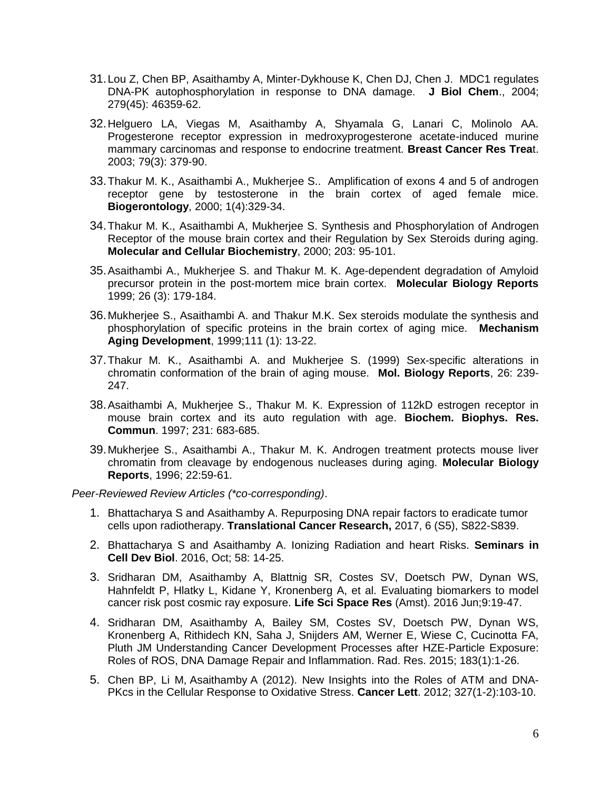- 31.Lou Z, Chen BP, Asaithamby A, Minter-Dykhouse K, Chen DJ, Chen J. MDC1 regulates DNA-PK autophosphorylation in response to DNA damage. **J Biol Chem**., 2004; 279(45): 46359-62.
- 32.Helguero LA, Viegas M, Asaithamby A, Shyamala G, Lanari C, Molinolo AA. Progesterone receptor expression in medroxyprogesterone acetate-induced murine mammary carcinomas and response to endocrine treatment. **Breast Cancer Res Trea**t. 2003; 79(3): 379-90.
- 33.Thakur M. K., Asaithambi A., Mukherjee S.. Amplification of exons 4 and 5 of androgen receptor gene by testosterone in the brain cortex of aged female mice. **Biogerontology**, 2000; 1(4):329-34.
- 34.Thakur M. K., Asaithambi A, Mukherjee S. Synthesis and Phosphorylation of Androgen Receptor of the mouse brain cortex and their Regulation by Sex Steroids during aging. **Molecular and Cellular Biochemistry**, 2000; 203: 95-101.
- 35.Asaithambi A., Mukherjee S. and Thakur M. K. Age-dependent degradation of Amyloid precursor protein in the post-mortem mice brain cortex. **Molecular Biology Reports**  1999; 26 (3): 179-184.
- 36.Mukherjee S., Asaithambi A. and Thakur M.K. Sex steroids modulate the synthesis and phosphorylation of specific proteins in the brain cortex of aging mice. **Mechanism Aging Development**, 1999;111 (1): 13-22.
- 37.Thakur M. K., Asaithambi A. and Mukherjee S. (1999) Sex-specific alterations in chromatin conformation of the brain of aging mouse. **Mol. Biology Reports**, 26: 239- 247.
- 38.Asaithambi A, Mukherjee S., Thakur M. K. Expression of 112kD estrogen receptor in mouse brain cortex and its auto regulation with age. **Biochem. Biophys. Res. Commun**. 1997; 231: 683-685.
- 39.Mukherjee S., Asaithambi A., Thakur M. K. Androgen treatment protects mouse liver chromatin from cleavage by endogenous nucleases during aging. **Molecular Biology Reports**, 1996; 22:59-61.

*Peer-Reviewed Review Articles (\*co-corresponding)*.

- 1. [Bhattacharya S](http://www.ncbi.nlm.nih.gov/pubmed/?term=Bhattacharya%20S%5BAuthor%5D&cauthor=true&cauthor_uid=26695548) and [Asaithamby A.](http://www.ncbi.nlm.nih.gov/pubmed/?term=Asaithamby%20A%5BAuthor%5D&cauthor=true&cauthor_uid=26695548) [Repurposing DNA repair factors to eradicate tumor](javascript:void(0))  [cells upon radiotherapy.](javascript:void(0)) **Translational Cancer Research,** 2017, 6 (S5), S822-S839.
- 2. [Bhattacharya S](http://www.ncbi.nlm.nih.gov/pubmed/?term=Bhattacharya%20S%5BAuthor%5D&cauthor=true&cauthor_uid=26695548) and [Asaithamby A.](http://www.ncbi.nlm.nih.gov/pubmed/?term=Asaithamby%20A%5BAuthor%5D&cauthor=true&cauthor_uid=26695548) Ionizing Radiation and heart Risks. **Seminars in Cell Dev Biol**. 2016, Oct; 58: 14-25.
- 3. Sridharan DM, Asaithamby A, Blattnig SR, Costes SV, Doetsch PW, Dynan WS, Hahnfeldt P, Hlatky L, Kidane Y, Kronenberg A, et al. [Evaluating biomarkers to model](https://www.ncbi.nlm.nih.gov/pubmed/27345199)  [cancer risk post cosmic ray exposure.](https://www.ncbi.nlm.nih.gov/pubmed/27345199) **Life Sci Space Res** (Amst). 2016 Jun;9:19-47.
- 4. Sridharan DM, Asaithamby A, Bailey SM, Costes SV, Doetsch PW, Dynan WS, Kronenberg A, Rithidech KN, Saha J, Snijders AM, Werner E, Wiese C, Cucinotta FA, Pluth JM Understanding Cancer Development Processes after HZE-Particle Exposure: Roles of ROS, DNA Damage Repair and Inflammation. Rad. Res. 2015; 183(1):1-26.
- 5. Chen BP, Li M, Asaithamby A (2012). New [Insights](http://www.ncbi.nlm.nih.gov/pubmed/22155347) into the Roles of ATM and DNA-PKcs in the Cellular [Response](http://www.ncbi.nlm.nih.gov/pubmed/22155347) to Oxidative Stress. **Cancer Lett**. 2012; 327(1-2):103-10.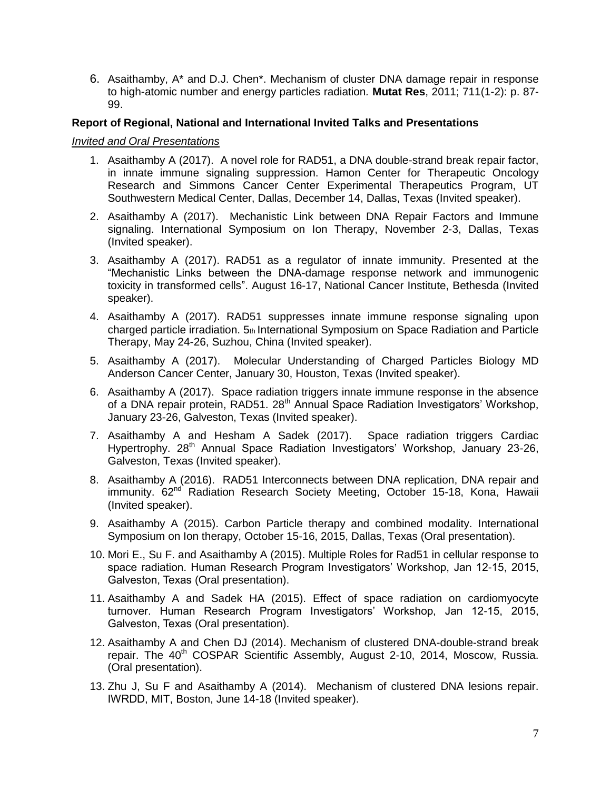6. Asaithamby, A\* and D.J. Chen\*. Mechanism of cluster DNA damage repair in response to high-atomic number and energy particles radiation*.* **Mutat Res**, 2011; 711(1-2): p. 87- 99.

#### **Report of Regional, National and International Invited Talks and Presentations**

#### *Invited and Oral Presentations*

- 1. Asaithamby A (2017). A novel role for RAD51, a DNA double-strand break repair factor, in innate immune signaling suppression. Hamon Center for Therapeutic Oncology Research and Simmons Cancer Center Experimental Therapeutics Program, UT Southwestern Medical Center, Dallas, December 14, Dallas, Texas (Invited speaker).
- 2. Asaithamby A (2017). Mechanistic Link between DNA Repair Factors and Immune signaling. International Symposium on Ion Therapy, November 2-3, Dallas, Texas (Invited speaker).
- 3. Asaithamby A (2017). RAD51 as a regulator of innate immunity. Presented at the "Mechanistic Links between the DNA-damage response network and immunogenic toxicity in transformed cells". August 16-17, National Cancer Institute, Bethesda (Invited speaker).
- 4. Asaithamby A (2017). RAD51 suppresses innate immune response signaling upon charged particle irradiation. 5th International Symposium on Space Radiation and Particle Therapy, May 24-26, Suzhou, China (Invited speaker).
- 5. Asaithamby A (2017). Molecular Understanding of Charged Particles Biology MD Anderson Cancer Center, January 30, Houston, Texas (Invited speaker).
- 6. Asaithamby A (2017). Space radiation triggers innate immune response in the absence of a DNA repair protein, RAD51. 28<sup>th</sup> Annual Space Radiation Investigators' Workshop, January 23-26, Galveston, Texas (Invited speaker).
- 7. Asaithamby A and Hesham A Sadek (2017). Space radiation triggers Cardiac Hypertrophy. 28<sup>th</sup> Annual Space Radiation Investigators' Workshop, January 23-26, Galveston, Texas (Invited speaker).
- 8. Asaithamby A (2016). RAD51 Interconnects between DNA replication, DNA repair and immunity. 62<sup>nd</sup> Radiation Research Society Meeting, October 15-18, Kona, Hawaii (Invited speaker).
- 9. Asaithamby A (2015). Carbon Particle therapy and combined modality. International Symposium on Ion therapy, October 15-16, 2015, Dallas, Texas (Oral presentation).
- 10. Mori E., Su F. and Asaithamby A (2015). Multiple Roles for Rad51 in cellular response to space radiation. Human Research Program Investigators' Workshop, Jan 12-15, 2015, Galveston, Texas (Oral presentation).
- 11. Asaithamby A and Sadek HA (2015). Effect of space radiation on cardiomyocyte turnover. Human Research Program Investigators' Workshop, Jan 12-15, 2015, Galveston, Texas (Oral presentation).
- 12. Asaithamby A and Chen DJ (2014). Mechanism of clustered DNA-double-strand break repair. The 40<sup>th</sup> COSPAR Scientific Assembly, August 2-10, 2014, Moscow, Russia. (Oral presentation).
- 13. Zhu J, Su F and Asaithamby A (2014). Mechanism of clustered DNA lesions repair. IWRDD, MIT, Boston, June 14-18 (Invited speaker).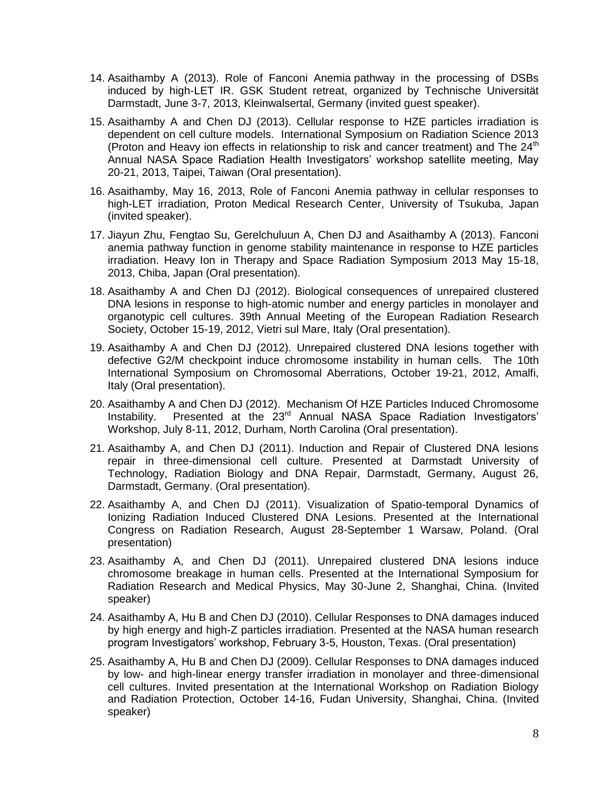- 14. Asaithamby A (2013). Role of Fanconi Anemia pathway in the processing of DSBs induced by high-LET IR. GSK Student retreat, organized by Technische Universität Darmstadt, June 3-7, 2013, Kleinwalsertal, Germany (invited guest speaker).
- 15. Asaithamby A and Chen DJ (2013). Cellular response to HZE particles irradiation is dependent on cell culture models. International Symposium on Radiation Science 2013 (Proton and Heavy ion effects in relationship to risk and cancer treatment) and The  $24<sup>th</sup>$ Annual NASA Space Radiation Health Investigators' workshop satellite meeting, May 20-21, 2013, Taipei, Taiwan (Oral presentation).
- 16. Asaithamby, May 16, 2013, Role of Fanconi Anemia pathway in cellular responses to high-LET irradiation, Proton Medical Research Center, University of Tsukuba, Japan (invited speaker).
- 17. Jiayun Zhu, Fengtao Su, Gerelchuluun A, Chen DJ and Asaithamby A (2013). Fanconi anemia pathway function in genome stability maintenance in response to HZE particles irradiation. Heavy Ion in Therapy and Space Radiation Symposium 2013 May 15-18, 2013, Chiba, Japan (Oral presentation).
- 18. Asaithamby A and Chen DJ (2012). Biological consequences of unrepaired clustered DNA lesions in response to high-atomic number and energy particles in monolayer and organotypic cell cultures. 39th Annual Meeting of the [European Radiation Research](http://www.errs.eu/)  [Society,](http://www.errs.eu/) October 15-19, 2012, Vietri sul Mare, Italy (Oral presentation).
- 19. Asaithamby A and Chen DJ (2012). Unrepaired clustered DNA lesions together with defective G2/M checkpoint induce chromosome instability in human cells. The 10th International Symposium on Chromosomal Aberrations, October 19-21, 2012, Amalfi, Italy (Oral presentation).
- 20. Asaithamby A and Chen DJ (2012). Mechanism Of HZE Particles Induced Chromosome Instability. Presented at the 23<sup>rd</sup> Annual NASA Space Radiation Investigators' Workshop, July 8-11, 2012, Durham, North Carolina (Oral presentation).
- 21. Asaithamby A, and Chen DJ (2011). Induction and Repair of Clustered DNA lesions repair in three-dimensional cell culture. Presented at Darmstadt University of Technology, Radiation Biology and DNA Repair, Darmstadt, Germany, August 26, Darmstadt, Germany. (Oral presentation).
- 22. Asaithamby A, and Chen DJ (2011). Visualization of Spatio-temporal Dynamics of Ionizing Radiation Induced Clustered DNA Lesions. Presented at the International Congress on Radiation Research, August 28-September 1 Warsaw, Poland. (Oral presentation)
- 23. Asaithamby A, and Chen DJ (2011). Unrepaired clustered DNA lesions induce chromosome breakage in human cells. Presented at the International Symposium for Radiation Research and Medical Physics, May 30-June 2, Shanghai, China. (Invited speaker)
- 24. Asaithamby A, Hu B and Chen DJ (2010). Cellular Responses to DNA damages induced by high energy and high-Z particles irradiation. Presented at the NASA human research program Investigators' workshop, February 3-5, Houston, Texas. (Oral presentation)
- 25. Asaithamby A, Hu B and Chen DJ (2009). Cellular Responses to DNA damages induced by low- and high-linear energy transfer irradiation in monolayer and three-dimensional cell cultures. Invited presentation at the International Workshop on Radiation Biology and Radiation Protection, October 14-16, Fudan University, Shanghai, China. (Invited speaker)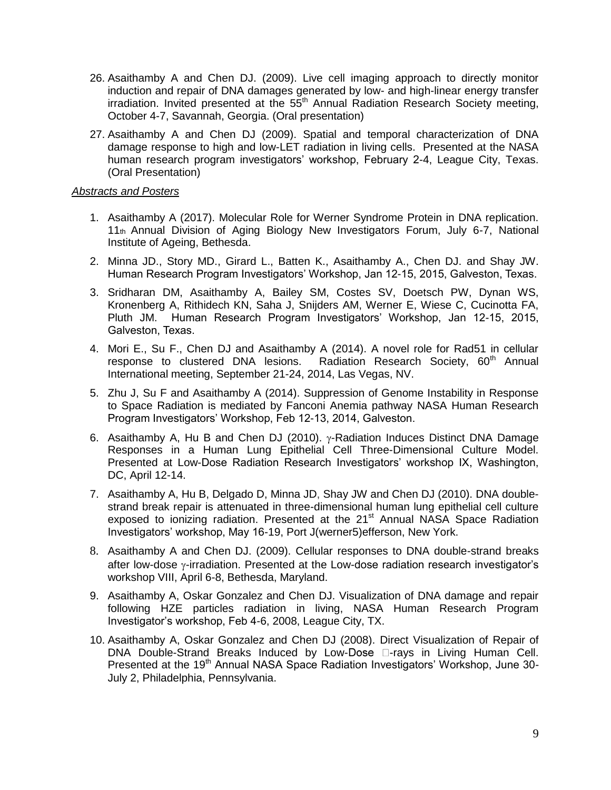- 26. Asaithamby A and Chen DJ. (2009). Live cell imaging approach to directly monitor induction and repair of DNA damages generated by low- and high-linear energy transfer irradiation. Invited presented at the  $55<sup>th</sup>$  Annual Radiation Research Society meeting, October 4-7, Savannah, Georgia. (Oral presentation)
- 27. Asaithamby A and Chen DJ (2009). Spatial and temporal characterization of DNA damage response to high and low-LET radiation in living cells. Presented at the NASA human research program investigators' workshop, February 2-4, League City, Texas. (Oral Presentation)

#### *Abstracts and Posters*

- 1. Asaithamby A (2017). Molecular Role for Werner Syndrome Protein in DNA replication. 11th Annual Division of Aging Biology New Investigators Forum, July 6-7, National Institute of Ageing, Bethesda.
- 2. Minna JD., Story MD., Girard L., Batten K., Asaithamby A., Chen DJ. and Shay JW. Human Research Program Investigators' Workshop, Jan 12-15, 2015, Galveston, Texas.
- 3. Sridharan DM, Asaithamby A, Bailey SM, Costes SV, Doetsch PW, Dynan WS, Kronenberg A, Rithidech KN, Saha J, Snijders AM, Werner E, Wiese C, Cucinotta FA, Pluth JM. Human Research Program Investigators' Workshop, Jan 12-15, 2015, Galveston, Texas.
- 4. Mori E., Su F., Chen DJ and Asaithamby A (2014). A novel role for Rad51 in cellular response to clustered DNA lesions. Radiation Research Society, 60<sup>th</sup> Annual International meeting, September 21-24, 2014, Las Vegas, NV.
- 5. Zhu J, Su F and Asaithamby A (2014). Suppression of Genome Instability in Response to Space Radiation is mediated by Fanconi Anemia pathway NASA Human Research Program Investigators' Workshop, Feb 12-13, 2014, Galveston.
- 6. Asaithamby A, Hu B and Chen DJ (2010).  $\gamma$ -Radiation Induces Distinct DNA Damage Responses in a Human Lung Epithelial Cell Three-Dimensional Culture Model. Presented at Low-Dose Radiation Research Investigators' workshop IX, Washington, DC, April 12-14.
- 7. Asaithamby A, Hu B, Delgado D, Minna JD, Shay JW and Chen DJ (2010). DNA doublestrand break repair is attenuated in three-dimensional human lung epithelial cell culture exposed to ionizing radiation. Presented at the 21<sup>st</sup> Annual NASA Space Radiation Investigators' workshop, May 16-19, Port J(werner5)efferson, New York.
- 8. Asaithamby A and Chen DJ. (2009). Cellular responses to DNA double-strand breaks after low-dose  $\gamma$ -irradiation. Presented at the Low-dose radiation research investigator's workshop VIII, April 6-8, Bethesda, Maryland.
- 9. Asaithamby A, Oskar Gonzalez and Chen DJ. Visualization of DNA damage and repair following HZE particles radiation in living, NASA Human Research Program Investigator's workshop, Feb 4-6, 2008, League City, TX.
- 10. Asaithamby A, Oskar Gonzalez and Chen DJ (2008). Direct Visualization of Repair of DNA Double-Strand Breaks Induced by Low-Dose  $\Box$ -rays in Living Human Cell. Presented at the 19<sup>th</sup> Annual NASA Space Radiation Investigators' Workshop, June 30-July 2, Philadelphia, Pennsylvania.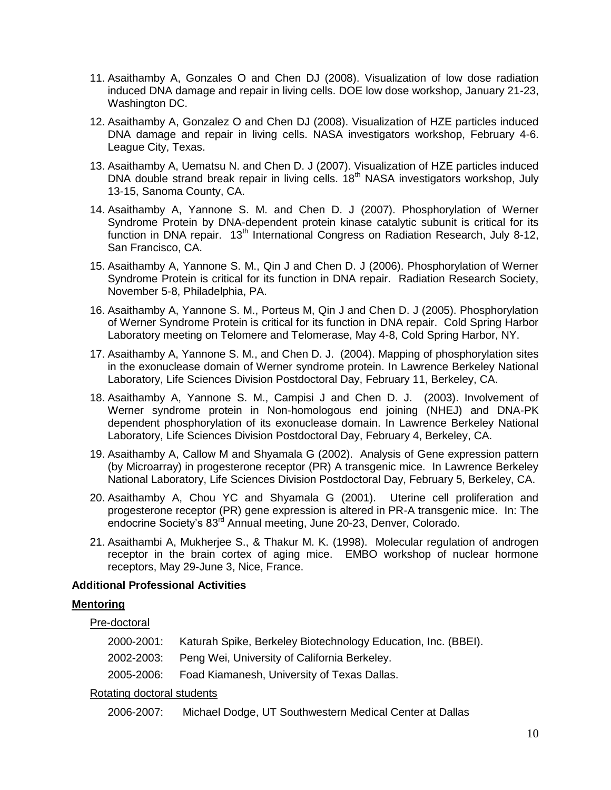- 11. Asaithamby A, Gonzales O and Chen DJ (2008). Visualization of low dose radiation induced DNA damage and repair in living cells. DOE low dose workshop, January 21-23, Washington DC.
- 12. Asaithamby A, Gonzalez O and Chen DJ (2008). Visualization of HZE particles induced DNA damage and repair in living cells. NASA investigators workshop, February 4-6. League City, Texas.
- 13. Asaithamby A, Uematsu N. and Chen D. J (2007). Visualization of HZE particles induced DNA double strand break repair in living cells. 18<sup>th</sup> NASA investigators workshop, July 13-15, Sanoma County, CA.
- 14. Asaithamby A, Yannone S. M. and Chen D. J (2007). Phosphorylation of Werner Syndrome Protein by DNA-dependent protein kinase catalytic subunit is critical for its function in DNA repair.  $13<sup>th</sup>$  International Congress on Radiation Research, July 8-12, San Francisco, CA.
- 15. Asaithamby A, Yannone S. M., Qin J and Chen D. J (2006). Phosphorylation of Werner Syndrome Protein is critical for its function in DNA repair. Radiation Research Society, November 5-8, Philadelphia, PA.
- 16. Asaithamby A, Yannone S. M., Porteus M, Qin J and Chen D. J (2005). Phosphorylation of Werner Syndrome Protein is critical for its function in DNA repair. Cold Spring Harbor Laboratory meeting on Telomere and Telomerase, May 4-8, Cold Spring Harbor, NY.
- 17. Asaithamby A, Yannone S. M., and Chen D. J. (2004). Mapping of phosphorylation sites in the exonuclease domain of Werner syndrome protein. In Lawrence Berkeley National Laboratory, Life Sciences Division Postdoctoral Day, February 11, Berkeley, CA.
- 18. Asaithamby A, Yannone S. M., Campisi J and Chen D. J. (2003). Involvement of Werner syndrome protein in Non-homologous end joining (NHEJ) and DNA-PK dependent phosphorylation of its exonuclease domain. In Lawrence Berkeley National Laboratory, Life Sciences Division Postdoctoral Day, February 4, Berkeley, CA.
- 19. Asaithamby A, Callow M and Shyamala G (2002). Analysis of Gene expression pattern (by Microarray) in progesterone receptor (PR) A transgenic mice. In Lawrence Berkeley National Laboratory, Life Sciences Division Postdoctoral Day, February 5, Berkeley, CA.
- 20. Asaithamby A, Chou YC and Shyamala G (2001). Uterine cell proliferation and progesterone receptor (PR) gene expression is altered in PR-A transgenic mice. In: The endocrine Society's 83<sup>rd</sup> Annual meeting, June 20-23, Denver, Colorado.
- 21. Asaithambi A, Mukherjee S., & Thakur M. K. (1998). Molecular regulation of androgen receptor in the brain cortex of aging mice. EMBO workshop of nuclear hormone receptors, May 29-June 3, Nice, France.

### **Additional Professional Activities**

### **Mentoring**

Pre-doctoral

| 2000-2001: Katurah Spike, Berkeley Biotechnology Education, Inc. (BBEI). |
|--------------------------------------------------------------------------|
| 2002-2003: Peng Wei, University of California Berkeley.                  |
| 2005-2006: Foad Kiamanesh, University of Texas Dallas.                   |

### Rotating doctoral students

2006-2007: Michael Dodge, UT Southwestern Medical Center at Dallas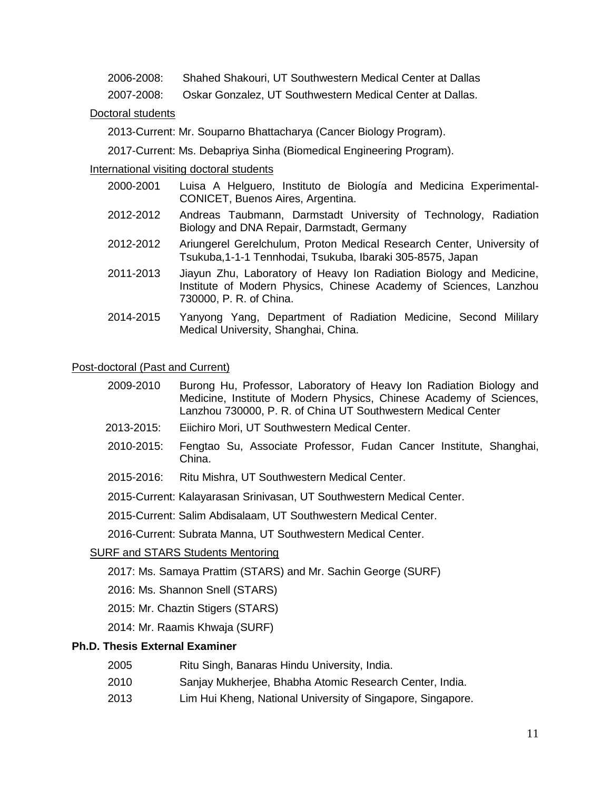2006-2008: Shahed Shakouri, UT Southwestern Medical Center at Dallas

2007-2008: Oskar Gonzalez, UT Southwestern Medical Center at Dallas.

## Doctoral students

2013-Current: Mr. Souparno Bhattacharya (Cancer Biology Program).

2017-Current: Ms. Debapriya Sinha (Biomedical Engineering Program).

## International visiting doctoral students

- 2000-2001 Luisa A Helguero, Instituto de Biología and Medicina Experimental-CONICET, Buenos Aires, Argentina.
- 2012-2012 Andreas Taubmann, Darmstadt University of Technology, Radiation Biology and DNA Repair, Darmstadt, Germany
- 2012-2012 Ariungerel Gerelchulum, Proton Medical Research Center, University of Tsukuba,1-1-1 Tennhodai, Tsukuba, Ibaraki 305-8575, Japan
- 2011-2013 Jiayun Zhu, Laboratory of Heavy Ion Radiation Biology and Medicine, Institute of Modern Physics, Chinese Academy of Sciences, Lanzhou 730000, P. R. of China.
- 2014-2015 Yanyong Yang, Department of Radiation Medicine, Second Mililary Medical University, Shanghai, China.

### Post-doctoral (Past and Current)

- 2009-2010 Burong Hu, Professor, Laboratory of Heavy Ion Radiation Biology and Medicine, Institute of Modern Physics, Chinese Academy of Sciences, Lanzhou 730000, P. R. of China UT Southwestern Medical Center
- 2013-2015: Eiichiro Mori, UT Southwestern Medical Center.
- 2010-2015: Fengtao Su, Associate Professor, Fudan Cancer Institute, Shanghai, China.
- 2015-2016: Ritu Mishra, UT Southwestern Medical Center.

2015-Current: Kalayarasan Srinivasan, UT Southwestern Medical Center.

2015-Current: Salim Abdisalaam, UT Southwestern Medical Center.

2016-Current: Subrata Manna, UT Southwestern Medical Center.

### SURF and STARS Students Mentoring

2017: Ms. Samaya Prattim (STARS) and Mr. Sachin George (SURF)

- 2016: Ms. Shannon Snell (STARS)
- 2015: Mr. Chaztin Stigers (STARS)
- 2014: Mr. Raamis Khwaja (SURF)

### **Ph.D. Thesis External Examiner**

- 2005 Ritu Singh, Banaras Hindu University, India.
- 2010 Sanjay Mukherjee, Bhabha Atomic Research Center, India.
- 2013 Lim Hui Kheng, National University of Singapore, Singapore.